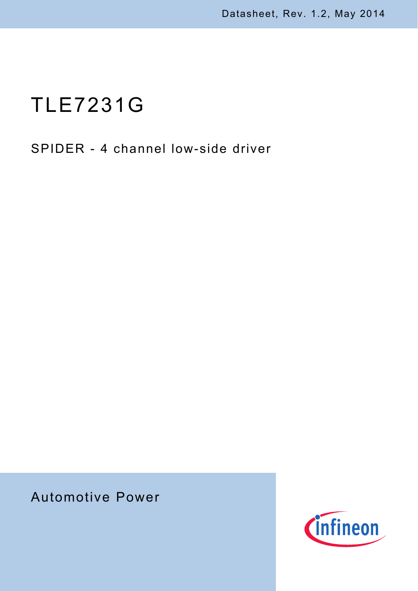# TLE7231G

## SPIDER - 4 channel low-side driver

# Automotive Power

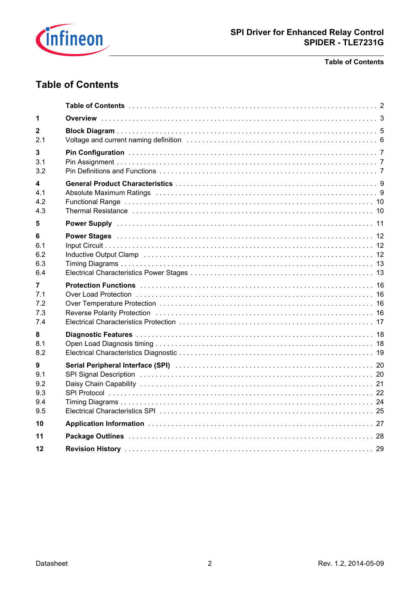

#### **Table of Contents**

### <span id="page-1-0"></span>**Table of Contents**

| 1                                    |                                                                                                                                                                                                                                                                                                                                                                                                                                                                  |  |
|--------------------------------------|------------------------------------------------------------------------------------------------------------------------------------------------------------------------------------------------------------------------------------------------------------------------------------------------------------------------------------------------------------------------------------------------------------------------------------------------------------------|--|
| $\mathbf{2}$<br>2.1                  |                                                                                                                                                                                                                                                                                                                                                                                                                                                                  |  |
| 3<br>3.1<br>3.2                      | Pin Configuration (1999) 77-10 (1999) 77-10 (1999) 77-10 (1999) 77-10 (1999) 77-10 (1999) 77-10 (1999) 77-10 (1999) 77-10 (1999) 77-10 (1999) 77-10 (1999) 77-10 (1999) 77-10 (1999) 77-10 (1999) 77-10 (1999) 77-10 (1999) 77                                                                                                                                                                                                                                   |  |
| 4<br>41<br>4.2<br>4.3                | Thermal Resistance in the contract of the contract of the contract of the contract of the contract of the contract of the contract of the contract of the contract of the contract of the contract of the contract of the cont                                                                                                                                                                                                                                   |  |
| 5                                    |                                                                                                                                                                                                                                                                                                                                                                                                                                                                  |  |
| 6<br>6.1<br>6.2<br>6.3<br>6.4        | Power Stages (and the contract of the contract of the contract of the contract of the contract of the contract of the contract of the contract of the contract of the contract of the contract of the contract of the contract<br>Inductive Output Clamp (and all and all and all and all and all and all and all and all and all and all and all and all and all and all and all and all and all and all and all and all and all and all and all and all and al |  |
| 7<br>7.1<br>7.2<br>7.3<br>7.4        | Over Load Protection (a) respectively and the control of the control of the control of the control of the control of the control of the control of the control of the control of the control of the control of the control of<br>Reverse Polarity Protection (and all and all and all and all and all and all and all and all and all and all a                                                                                                                  |  |
| 8<br>8.1<br>8.2                      |                                                                                                                                                                                                                                                                                                                                                                                                                                                                  |  |
| 9<br>9.1<br>9.2<br>9.3<br>9.4<br>9.5 | SPI Signal Description (and according to the control of the control of the control of the control of the control of the control of the control of the control of the control of the control of the control of the control of t                                                                                                                                                                                                                                   |  |
| 10                                   |                                                                                                                                                                                                                                                                                                                                                                                                                                                                  |  |
| 11                                   |                                                                                                                                                                                                                                                                                                                                                                                                                                                                  |  |
| 12                                   |                                                                                                                                                                                                                                                                                                                                                                                                                                                                  |  |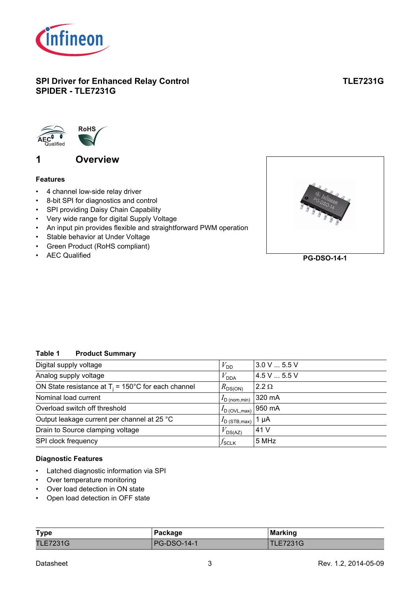

### **SPI Driver for Enhanced Relay Control SPIDER - TLE7231G**

### **TLE7231G**



### <span id="page-2-1"></span><span id="page-2-0"></span>**1 Overview**

#### **Features**

- 4 channel low-side relay driver
- 8-bit SPI for diagnostics and control
- SPI providing Daisy Chain Capability
- Very wide range for digital Supply Voltage
- An input pin provides flexible and straightforward PWM operation
- Stable behavior at Under Voltage
- Green Product (RoHS compliant)
- AEC Qualified



**PG-DSO-14-1**

#### **Table 1 Product Summary**

| Digital supply voltage                                        | $V_{\text{DD}}$           | $3.0 V$ 5.5 V |
|---------------------------------------------------------------|---------------------------|---------------|
| Analog supply voltage                                         | $V_{\mathsf{DDA}}$        | 4.5V5.5V      |
| ON State resistance at $T_i = 150^{\circ}$ C for each channel | $R_{DS(ON)}$              | $2.2 \Omega$  |
| Nominal load current                                          | $I_{\text{D (nom,min)}}$  | 320 mA        |
| Overload switch off threshold                                 | $I_{\text{D (OVL,max)}}$  | 950 mA        |
| Output leakage current per channel at 25 °C                   | $I_{\text{D}}$ (STB, max) | 1 µA          |
| Drain to Source clamping voltage                              | $V_{DS(AZ)}$              | 41 V          |
| SPI clock frequency                                           | $J$ sclk                  | 5 MHz         |

#### **Diagnostic Features**

- Latched diagnostic information via SPI
- Over temperature monitoring
- Over load detection in ON state
- Open load detection in OFF state

| <b>Type</b>     | Package            | <b>Marking</b>  |
|-----------------|--------------------|-----------------|
| <b>TLE7231G</b> | <b>PG-DSO-14-1</b> | <b>TLE7231G</b> |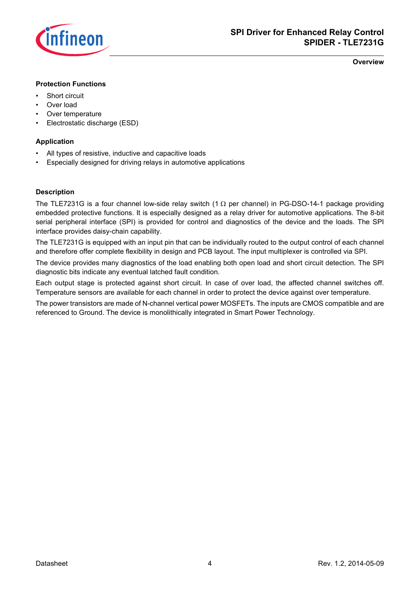

**Overview**

#### **Protection Functions**

- Short circuit
- Over load
- Over temperature
- Electrostatic discharge (ESD)

#### **Application**

- All types of resistive, inductive and capacitive loads
- Especially designed for driving relays in automotive applications

#### **Description**

<span id="page-3-0"></span>The TLE7231G is a four channel low-side relay switch (1 Ω per channel) in PG-DSO-14-1 package providing embedded protective functions. It is especially designed as a relay driver for automotive applications. The 8-bit serial peripheral interface (SPI) is provided for control and diagnostics of the device and the loads. The SPI interface provides daisy-chain capability.

The TLE7231G is equipped with an input pin that can be individually routed to the output control of each channel and therefore offer complete flexibility in design and PCB layout. The input multiplexer is controlled via SPI.

The device provides many diagnostics of the load enabling both open load and short circuit detection. The SPI diagnostic bits indicate any eventual latched fault condition.

Each output stage is protected against short circuit. In case of over load, the affected channel switches off. Temperature sensors are available for each channel in order to protect the device against over temperature.

The power transistors are made of N-channel vertical power MOSFETs. The inputs are CMOS compatible and are referenced to Ground. The device is monolithically integrated in Smart Power Technology.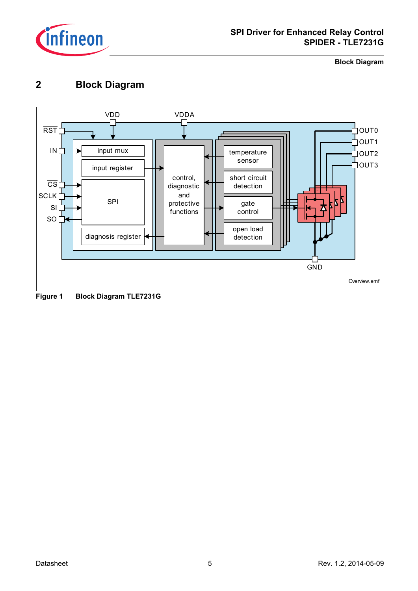

**Block Diagram**

### <span id="page-4-0"></span>**2 Block Diagram**

<span id="page-4-1"></span>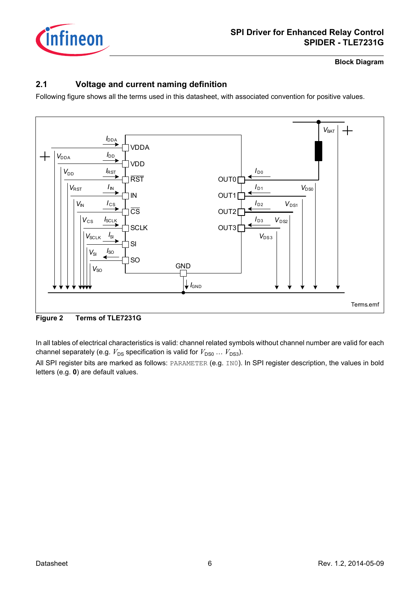

**Block Diagram**

### <span id="page-5-0"></span>**2.1 Voltage and current naming definition**

Following figure shows all the terms used in this datasheet, with associated convention for positive values.



**Figure 2 Terms of TLE7231G**

In all tables of electrical characteristics is valid: channel related symbols without channel number are valid for each channel separately (e.g.  $V_{DS}$  specification is valid for  $V_{DS0} \dots V_{DS3}$ ).

All SPI register bits are marked as follows: PARAMETER (e.g. IN0). In SPI register description, the values in bold letters (e.g. **0**) are default values.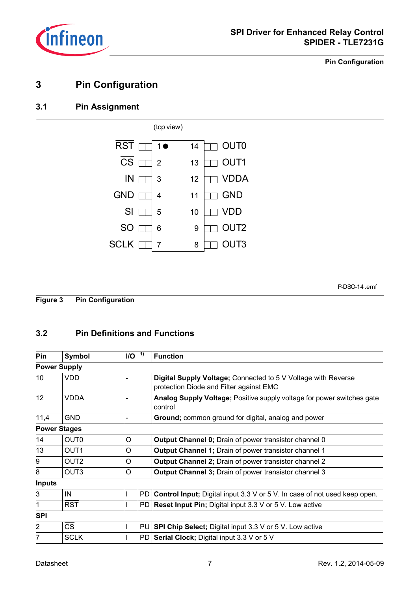

**Pin Configuration**

### <span id="page-6-0"></span>**3 Pin Configuration**

### <span id="page-6-1"></span>**3.1 Pin Assignment**



### <span id="page-6-2"></span>**3.2 Pin Definitions and Functions**

| Pin            | Symbol                 | $I/O-1$ |     | <b>Function</b>                                                                                          |  |  |  |  |  |
|----------------|------------------------|---------|-----|----------------------------------------------------------------------------------------------------------|--|--|--|--|--|
|                | <b>Power Supply</b>    |         |     |                                                                                                          |  |  |  |  |  |
| 10             | VDD                    |         |     | Digital Supply Voltage; Connected to 5 V Voltage with Reverse<br>protection Diode and Filter against EMC |  |  |  |  |  |
| 12             | VDDA                   |         |     | Analog Supply Voltage; Positive supply voltage for power switches gate<br>control                        |  |  |  |  |  |
| 11,4           | <b>GND</b>             |         |     | Ground; common ground for digital, analog and power                                                      |  |  |  |  |  |
|                | <b>Power Stages</b>    |         |     |                                                                                                          |  |  |  |  |  |
| 14             | OUT <sub>0</sub>       | O       |     | <b>Output Channel 0; Drain of power transistor channel 0</b>                                             |  |  |  |  |  |
| 13             | OUT <sub>1</sub>       | O       |     | <b>Output Channel 1; Drain of power transistor channel 1</b>                                             |  |  |  |  |  |
| 9              | OUT <sub>2</sub>       | O       |     | <b>Output Channel 2; Drain of power transistor channel 2</b>                                             |  |  |  |  |  |
| 8              | OUT <sub>3</sub>       | O       |     | <b>Output Channel 3; Drain of power transistor channel 3</b>                                             |  |  |  |  |  |
| <b>Inputs</b>  |                        |         |     |                                                                                                          |  |  |  |  |  |
| 3              | IN                     |         | PD. | Control Input; Digital input 3.3 V or 5 V. In case of not used keep open.                                |  |  |  |  |  |
| 1              | <b>RST</b>             |         | PD  | <b>Reset Input Pin; Digital input 3.3 V or 5 V. Low active</b>                                           |  |  |  |  |  |
| <b>SPI</b>     |                        |         |     |                                                                                                          |  |  |  |  |  |
| $\overline{2}$ | $\overline{\text{CS}}$ |         | PU  | <b>SPI Chip Select; Digital input 3.3 V or 5 V. Low active</b>                                           |  |  |  |  |  |
| 7              | <b>SCLK</b>            |         | PD  | Serial Clock; Digital input 3.3 V or 5 V                                                                 |  |  |  |  |  |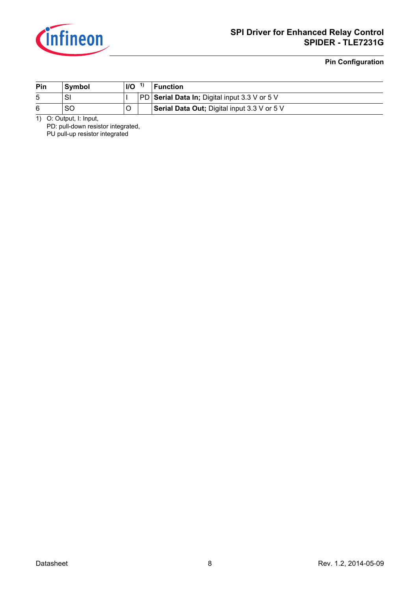

#### **Pin Configuration**

| Pin | <b>Symbol</b> | I/O | <b>Function</b>                               |
|-----|---------------|-----|-----------------------------------------------|
|     | SI            |     | PD Serial Data In; Digital input 3.3 V or 5 V |
|     | SC            |     | Serial Data Out; Digital input 3.3 V or 5 V   |

1) O: Output, I: Input,

PD: pull-down resistor integrated, PU pull-up resistor integrated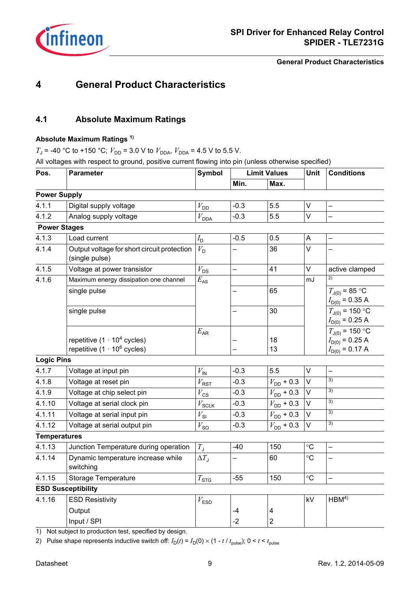

**General Product Characteristics**

### <span id="page-8-0"></span>**4 General Product Characteristics**

### <span id="page-8-1"></span>**4.1 Absolute Maximum Ratings**

#### **Absolute Maximum Ratings 1)**

 $T_{\rm J}$  = -40 °C to +150 °C;  $V_{\rm DD}$  = 3.0 V to  $V_{\rm DDA}$ ,  $V_{\rm DDA}$  = 4.5 V to 5.5 V.

All voltages with respect to ground, positive current flowing into pin (unless otherwise specified)

| Pos.                | <b>Parameter</b>                                              | <b>Symbol</b>                      | <b>Limit Values</b> |                         | Unit              | <b>Conditions</b>                          |
|---------------------|---------------------------------------------------------------|------------------------------------|---------------------|-------------------------|-------------------|--------------------------------------------|
|                     |                                                               |                                    | Min.                | Max.                    |                   |                                            |
| <b>Power Supply</b> |                                                               |                                    |                     |                         |                   |                                            |
| 4.1.1               | Digital supply voltage                                        | $V_{\rm DD}$                       | $-0.3$              | 5.5                     | $\vee$            |                                            |
| 4.1.2               | Analog supply voltage                                         | $V_{\text{DDA}}$                   | $-0.3$              | 5.5                     | $\vee$            |                                            |
| <b>Power Stages</b> |                                                               |                                    |                     |                         |                   |                                            |
| 4.1.3               | Load current                                                  | $I_{\mathsf{D}}$                   | $-0.5$              | 0.5                     | A                 | $\overline{\phantom{0}}$                   |
| 4.1.4               | Output voltage for short circuit protection<br>(single pulse) | $V_{\rm D}$                        |                     | 36                      | $\vee$            |                                            |
| 4.1.5               | Voltage at power transistor                                   | $V_{DS}$                           |                     | 41                      | $\vee$            | active clamped                             |
| 4.1.6               | Maximum energy dissipation one channel                        | $E_{\rm AS}$                       |                     |                         | mJ                | 2)                                         |
|                     | single pulse                                                  |                                    |                     | 65                      |                   | $T_{J(0)} = 85$ °C<br>$I_{D(0)} = 0.35 A$  |
|                     | single pulse                                                  |                                    |                     | 30                      |                   | $T_{J(0)}$ = 150 °C<br>$I_{D(0)} = 0.25 A$ |
|                     |                                                               | $E_{AR}$                           |                     |                         |                   | $T_{J(0)}$ = 150 °C                        |
|                     | repetitive $(1 \cdot 10^4 \text{ cycles})$                    |                                    |                     | 18                      |                   | $I_{D(0)} = 0.25 A$                        |
|                     | repetitive $(1 \cdot 10^6$ cycles)                            |                                    |                     | 13                      |                   | $I_{D(0)} = 0.17 A$                        |
| <b>Logic Pins</b>   |                                                               |                                    |                     |                         |                   |                                            |
| 4.1.7               | Voltage at input pin                                          | $V_{\text{IN}}$                    | $-0.3$              | 5.5                     | $\vee$            |                                            |
| 4.1.8               | Voltage at reset pin                                          | $V_{\rm RS{\underline{\text{T}}}}$ | $-0.3$              | $V_{\text{DD}}$ + 0.3   | V                 | 3)                                         |
| 4.1.9               | Voltage at chip select pin                                    | $V_{\mathsf{CS}}$                  | $-0.3$              | $V_{DD}$ + 0.3          | V                 | 3)                                         |
| 4.1.10              | Voltage at serial clock pin                                   | $V_{\rm SCLK}$                     | $-0.3$              | $V_{\text{DD}}$ + 0.3   | $\vee$            | 3)                                         |
| 4.1.11              | Voltage at serial input pin                                   | $V_{\rm SI}$                       | $-0.3$              | $V_{\text{DD}}$ + 0.3   | $\vee$            | $\overline{3)}$                            |
| 4.1.12              | Voltage at serial output pin                                  | $V_{\mathsf{SO}}$                  | $-0.3$              | $V_{\text{DD}}$ + 0.3   | V                 | 3)                                         |
| <b>Temperatures</b> |                                                               |                                    |                     |                         |                   |                                            |
| 4.1.13              | Junction Temperature during operation                         | $T_{\rm J}$                        | $-40$               | 150                     | $\circ$ C         |                                            |
| 4.1.14              | Dynamic temperature increase while<br>switching               | $\Delta T_{\rm J}$                 |                     | 60                      | $\circ$ C         |                                            |
| 4.1.15              | Storage Temperature                                           | $T_{\text{STG}}$                   | $-55$               | 150                     | $^\circ \text{C}$ |                                            |
|                     | <b>ESD Susceptibility</b>                                     |                                    |                     |                         |                   |                                            |
| 4.1.16              | <b>ESD Resistivity</b>                                        | $V_{\mathsf{ESD}}$                 |                     |                         | kV                | HBM <sup>4</sup>                           |
|                     | Output                                                        |                                    | $-4$                | $\overline{\mathbf{4}}$ |                   |                                            |
|                     | Input / SPI                                                   |                                    | $-2$                | $\overline{2}$          |                   |                                            |
|                     |                                                               |                                    |                     |                         |                   |                                            |

1) Not subject to production test, specified by design.

2) Pulse shape represents inductive switch off:  $I_D(t) = I_D(0) \times (1 - t / t_{pulse})$ ; 0 <  $t < t_{pulse}$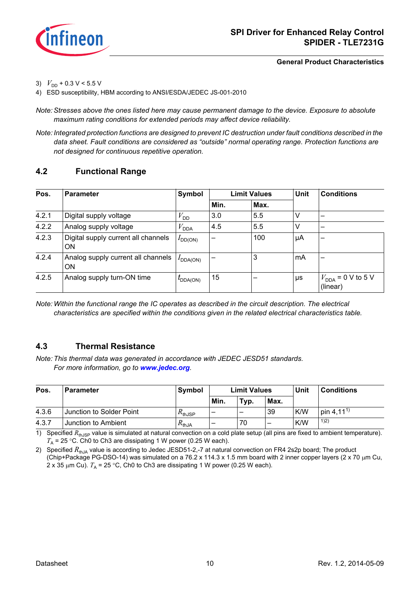

<span id="page-9-6"></span><span id="page-9-5"></span><span id="page-9-4"></span><span id="page-9-3"></span>**General Product Characteristics**

- <span id="page-9-2"></span>3)  $V_{\text{DD}}$  + 0.3 V < 5.5 V
- <span id="page-9-7"></span>4) ESD susceptibility, HBM according to ANSI/ESDA/JEDEC JS-001-2010

*Note: Stresses above the ones listed here may cause permanent damage to the device. Exposure to absolute maximum rating conditions for extended periods may affect device reliability.*

*Note: Integrated protection functions are designed to prevent IC destruction under fault conditions described in the data sheet. Fault conditions are considered as "outside" normal operating range. Protection functions are not designed for continuous repetitive operation.*

### <span id="page-9-8"></span><span id="page-9-0"></span>**4.2 Functional Range**

| Pos.  | <b>Parameter</b>                          | Symbol               |                          | <b>Limit Values</b> | Unit | <b>Conditions</b>                         |  |
|-------|-------------------------------------------|----------------------|--------------------------|---------------------|------|-------------------------------------------|--|
|       |                                           |                      | Min.                     | Max.                |      |                                           |  |
| 4.2.1 | Digital supply voltage                    | $V_{\text{DD}}$      | 3.0                      | 5.5                 | v    | -                                         |  |
| 4.2.2 | Analog supply voltage                     | $V_{\mathsf{DDA}}$   | 4.5                      | 5.5                 | v    |                                           |  |
| 4.2.3 | Digital supply current all channels<br>ON | $I_{DD(ON)}$         | $\overline{\phantom{0}}$ | 100                 | μA   |                                           |  |
| 4.2.4 | Analog supply current all channels<br>ON  | $I_{\text{DDA(ON)}}$ |                          | 3                   | mA   | -                                         |  |
| 4.2.5 | Analog supply turn-ON time                | $t_{\text{DDA(ON)}}$ | 15                       |                     | μs   | $V_{\text{DDA}}$ = 0 V to 5 V<br>(linear) |  |

*Note: Within the functional range the IC operates as described in the circuit description. The electrical characteristics are specified within the conditions given in the related electrical characteristics table.*

### <span id="page-9-1"></span>**4.3 Thermal Resistance**

*Note: This thermal data was generated in accordance with JEDEC JESD51 standards. For more information, go to [www.jedec.org](http://www.jedec.org).*

| Pos.  | <b>Parameter</b>         | Symbol              | <b>Limit Values</b> |      |      | Unit | <b>Conditions</b>     |
|-------|--------------------------|---------------------|---------------------|------|------|------|-----------------------|
|       |                          |                     | Min.                | Typ. | Max. |      |                       |
| 4.3.6 | Junction to Solder Point | /\ <sub>thJSP</sub> | –                   | -    | 39   | K/W  | pin 4,11 <sup>1</sup> |
| 4.3.7 | Junction to Ambient      | <sup>∡</sup> thJA   | -                   | 70   | _    | K/W  | 1)2)                  |

1) Specified  $R_{thJSP}$  value is simulated at natural convection on a cold plate setup (all pins are fixed to ambient temperature).  $T_A$  = 25 °C. Ch0 to Ch3 are dissipating 1 W power (0.25 W each).

2) Specified  $R_{th,IA}$  value is according to Jedec JESD51-2,-7 at natural convection on FR4 2s2p board; The product (Chip+Package PG-DSO-14) was simulated on a 76.2 x 114.3 x 1.5 mm board with 2 inner copper layers (2 x 70 μm Cu, 2 x 35  $\mu$ m Cu).  $T_A$  = 25 °C, Ch0 to Ch3 are dissipating 1 W power (0.25 W each).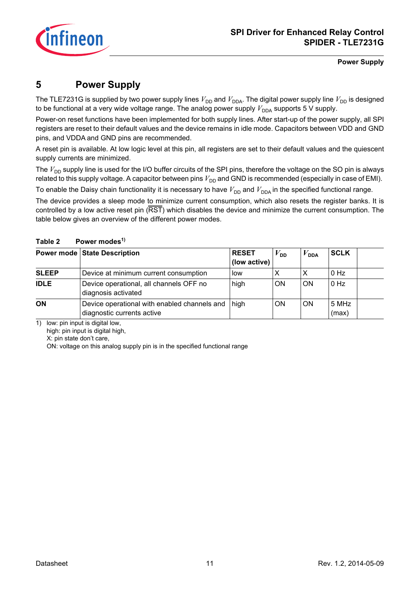

**Power Supply**

### <span id="page-10-0"></span>**5 Power Supply**

The TLE7231G is supplied by two power supply lines  $V_{DD}$  and  $V_{DDA}$ . The digital power supply line  $V_{DD}$  is designed to be functional at a very wide voltage range. The analog power supply  $V_{DDA}$  supports 5 V supply.

Power-on reset functions have been implemented for both supply lines. After start-up of the power supply, all SPI registers are reset to their default values and the device remains in idle mode. Capacitors between VDD and GND pins, and VDDA and GND pins are recommended.

A reset pin is available. At low logic level at this pin, all registers are set to their default values and the quiescent supply currents are minimized.

The  $V_{\text{DD}}$  supply line is used for the I/O buffer circuits of the SPI pins, therefore the voltage on the SO pin is always related to this supply voltage. A capacitor between pins  $V_{DD}$  and GND is recommended (especially in case of EMI).

To enable the Daisy chain functionality it is necessary to have  $V_{DD}$  and  $V_{DDA}$  in the specified functional range.

The device provides a sleep mode to minimize current consumption, which also resets the register banks. It is controlled by a low active reset pin (RST) which disables the device and minimize the current consumption. The table below gives an overview of the different power modes.

|              | <b>Power mode State Description</b>                                        | <b>RESET</b><br>(low active) | $V_{\mathsf{DD}}$ | $V_{\sf DDA}$ | <b>SCLK</b>    |
|--------------|----------------------------------------------------------------------------|------------------------------|-------------------|---------------|----------------|
| <b>SLEEP</b> | Device at minimum current consumption                                      | low                          |                   |               | $0$ Hz         |
| <b>IDLE</b>  | Device operational, all channels OFF no<br>diagnosis activated             | high                         | <b>ON</b>         | ON            | 0 Hz           |
| <b>ON</b>    | Device operational with enabled channels and<br>diagnostic currents active | high                         | ON                | <b>ON</b>     | 5 MHz<br>(max) |

#### Table 2 Power modes<sup>1)</sup>

1) low: pin input is digital low,

high: pin input is digital high,

X: pin state don't care,

ON: voltage on this analog supply pin is in the specified functional range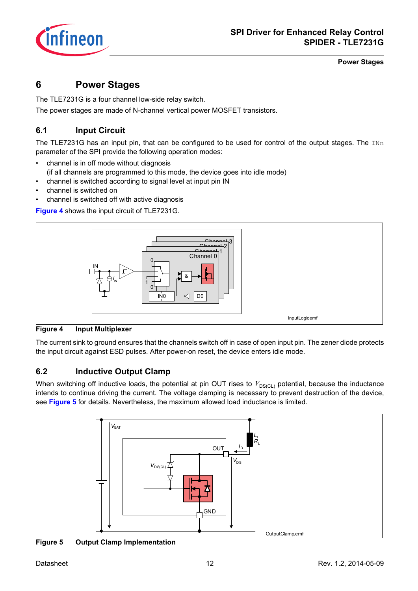

### <span id="page-11-0"></span>**6 Power Stages**

The TLE7231G is a four channel low-side relay switch.

The power stages are made of N-channel vertical power MOSFET transistors.

### <span id="page-11-1"></span>**6.1 Input Circuit**

The TLE7231G has an input pin, that can be configured to be used for control of the output stages. The INn parameter of the SPI provide the following operation modes:

- channel is in off mode without diagnosis
- (if all channels are programmed to this mode, the device goes into idle mode)
- channel is switched according to signal level at input pin IN
- channel is switched on
- channel is switched off with active diagnosis

**[Figure 4](#page-11-3)** shows the input circuit of TLE7231G.



### <span id="page-11-5"></span><span id="page-11-3"></span>**Figure 4 Input Multiplexer**

The current sink to ground ensures that the channels switch off in case of open input pin. The zener diode protects the input circuit against ESD pulses. After power-on reset, the device enters idle mode.

### <span id="page-11-2"></span>**6.2 Inductive Output Clamp**

When switching off inductive loads, the potential at pin OUT rises to  $V_{DS(CL)}$  potential, because the inductance intends to continue driving the current. The voltage clamping is necessary to prevent destruction of the device, see **[Figure 5](#page-11-4)** for details. Nevertheless, the maximum allowed load inductance is limited.



<span id="page-11-4"></span>**Figure 5 Output Clamp Implementation**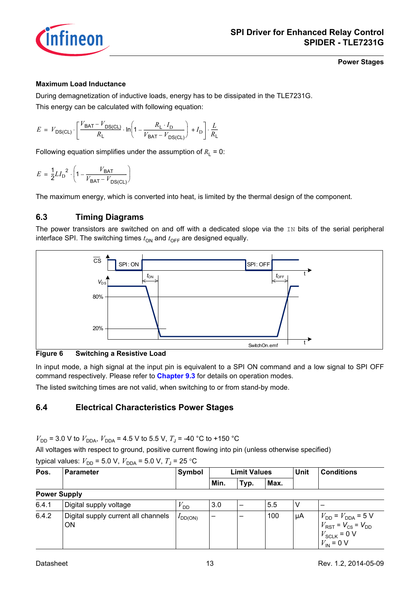

#### **Maximum Load Inductance**

During demagnetization of inductive loads, energy has to be dissipated in the TLE7231G. This energy can be calculated with following equation:

 $E = V_{\text{DS}(\text{CL})} \cdot \left[ \frac{V_{\text{BAT}} - V_{\text{DS}(\text{CL})}}{P} \right]$  $\frac{V_{\text{BAT}} - V_{\text{DS}(\text{CL})}}{R_{\text{L}}} \cdot \ln \left(1 - \frac{R_{\text{L}} \cdot I_{\text{D}}}{V_{\text{BAT}} - V_{\text{D}S}}\right)$  $\left(1 - \frac{R_{\text{L}} \cdot I_{\text{D}}}{V_{\text{BAT}} - V_{\text{DS}(\text{CL})}}\right) + I_{\text{D}}\right] \cdot \frac{L}{R_{\text{N}}}$  $V_{DS(GL)}$   $\left[\frac{B_{R1} - B_{S(GL)}}{R_L} \cdot \ln\left(1 - \frac{R_L - R_D}{V_{BAT} - V_{DS(Cl)}}\right) + I_D\right] \cdot \frac{E}{R_L}$ 

Following equation simplifies under the assumption of  $R_1 = 0$ :

$$
E = \frac{1}{2} L I_{\text{D}}^2 \cdot \left( 1 - \frac{V_{\text{BAT}}}{V_{\text{BAT}} - V_{\text{DS}(\text{CL})}} \right)
$$

The maximum energy, which is converted into heat, is limited by the thermal design of the component.

### <span id="page-12-0"></span>**6.3 Timing Diagrams**

The power transistors are switched on and off with a dedicated slope via the IN bits of the serial peripheral interface SPI. The switching times  $t_{ON}$  and  $t_{OFF}$  are designed equally.



**Figure 6 Switching a Resistive Load**

<span id="page-12-2"></span>6.4.2 Digital supply current all channels

In input mode, a high signal at the input pin is equivalent to a SPI ON command and a low signal to SPI OFF command respectively. Please refer to **[Chapter 9.3](#page-21-1)** for details on operation modes.

The listed switching times are not valid, when switching to or from stand-by mode.

### <span id="page-12-1"></span>**6.4 Electrical Characteristics Power Stages**

 $V_{\text{DD}}$  = 3.0 V to  $V_{\text{DDA}}$ ,  $V_{\text{DDA}}$  = 4.5 V to 5.5 V,  $T_{\text{J}}$  = -40 °C to +150 °C

All voltages with respect to ground, positive current flowing into pin (unless otherwise specified)

|       | typical values: $V_{\text{DD}}$ = 5.0 V, $V_{\text{DDA}}$ = 5.0 V, $T_{\text{J}}$ = 25 °C |                 |      |                     |      |      |                   |  |
|-------|-------------------------------------------------------------------------------------------|-----------------|------|---------------------|------|------|-------------------|--|
| Pos.  | <b>Parameter</b>                                                                          | Symbol          |      | <b>Limit Values</b> |      | Unit | <b>Conditions</b> |  |
|       |                                                                                           |                 | Min. | Typ.                | Max. |      |                   |  |
|       | <b>Power Supply</b>                                                                       |                 |      |                     |      |      |                   |  |
| 6.4.1 | Digital supply voltage                                                                    | <sup>V</sup> DD | 3.0  |                     | 5.5  |      |                   |  |

Datasheet 13 Rev. 1.2, 2014-05-09

 $V_{RST}$  =  $V_{CS}$  =  $V_{DD}$  $V_{SCLK}$  = 0 V  $V_{\text{IN}}$  = 0 V

 $I_{DD(ON)}$  – – 100  $\mu$ A  $V_{DD} = V_{DDA} = 5$  V

ON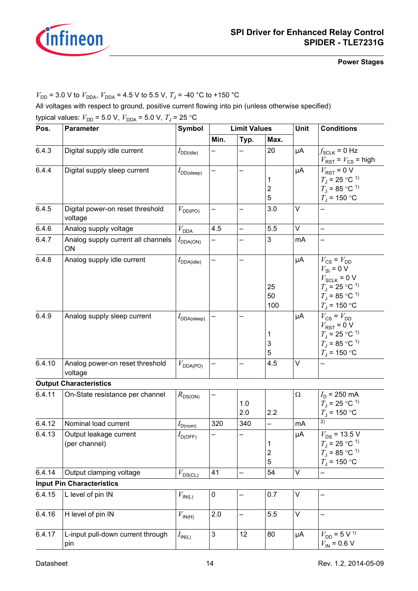

 $V_{\text{DD}}$  = 3.0 V to  $V_{\text{DDA}}$ ,  $V_{\text{DDA}}$  = 4.5 V to 5.5 V,  $T_{\text{J}}$  = -40 °C to +150 °C

All voltages with respect to ground, positive current flowing into pin (unless otherwise specified) typical values:  $V_{\text{DD}} = 5.0 \text{ V}$ ,  $V_{\text{DDA}} = 5.0 \text{ V}$ ,  $T_{\text{J}} = 25 \text{ °C}$ 

<span id="page-13-7"></span><span id="page-13-6"></span><span id="page-13-5"></span><span id="page-13-4"></span><span id="page-13-3"></span><span id="page-13-2"></span><span id="page-13-1"></span><span id="page-13-0"></span>

| Pos.   | <b>Parameter</b>                            | Symbol                            |           | <b>Limit Values</b>      |                                   | Unit     | <b>Conditions</b>                                                                                                                                                                |
|--------|---------------------------------------------|-----------------------------------|-----------|--------------------------|-----------------------------------|----------|----------------------------------------------------------------------------------------------------------------------------------------------------------------------------------|
|        |                                             |                                   | Min.      | Typ.                     | Max.                              |          |                                                                                                                                                                                  |
| 6.4.3  | Digital supply idle current                 | $I_{\mathsf{DD}(\mathsf{idle})}$  |           |                          | 20                                | μA       | $f_{SCLK}$ = 0 Hz<br>$V_{RST}$ = $V_{CS}$ = high                                                                                                                                 |
| 6.4.4  | Digital supply sleep current                | $I_{\mathsf{DD}(\mathsf{sleep})}$ |           |                          | 1<br>$\mathbf 2$<br>5             | μA       | $V_{RST}$ = 0 V<br>$T_{\rm J}$ = 25 °C <sup>1)</sup><br>$T_{\rm J}$ = 85 °C <sup>1)</sup><br>$T_1$ = 150 °C                                                                      |
| 6.4.5  | Digital power-on reset threshold<br>voltage | $V_{\text{DD(PO)}}$               |           |                          | 3.0                               | $\vee$   |                                                                                                                                                                                  |
| 6.4.6  | Analog supply voltage                       | $V_{\mathsf{DDA}}$                | 4.5       | $\overline{\phantom{0}}$ | 5.5                               | $\vee$   |                                                                                                                                                                                  |
| 6.4.7  | Analog supply current all channels<br>ON    | $I_{\text{DDA(ON)}}$              |           |                          | 3                                 | mA       |                                                                                                                                                                                  |
| 6.4.8  | Analog supply idle current                  | $I_{\mathsf{DDA}(\mathsf{idle})}$ |           |                          | 25<br>50<br>100                   | μA       | $V_{\text{CS}} = V_{\text{DD}}$<br>$V_{\text{SI}}$ = 0 V<br>$V_{SCLK}$ = 0 V<br>$T_{\rm J}$ = 25 °C <sup>-1)</sup><br>$T_{\rm J}$ = 85 °C <sup>-1)</sup><br>$T_{\rm J}$ = 150 °C |
| 6.4.9  | Analog supply sleep current                 | $I_{\text{DDA(sleep)}}$           |           |                          | 1<br>3<br>5                       | μA       | $V_{\text{CS}} = V_{\text{DD}}$<br>$V_{RST}$ = 0 V<br>$T_{\rm J}$ = 25 °C <sup>1)</sup><br>$T_{\rm J}$ = 85 °C <sup>-1)</sup><br>$T_{\rm J}$ = 150 °C                            |
| 6.4.10 | Analog power-on reset threshold<br>voltage  | $V_{\text{DDA(PO)}}$              |           |                          | 4.5                               | V        |                                                                                                                                                                                  |
|        | <b>Output Characteristics</b>               |                                   |           |                          |                                   |          |                                                                                                                                                                                  |
| 6.4.11 | On-State resistance per channel             | $R_{DS(ON)}$                      |           | 1.0<br>2.0               | 2.2                               | $\Omega$ | $I_D$ = 250 mA<br>$T_{\rm J}$ = 25 °C <sup>-1)</sup><br>$T_{\rm J}$ = 150 °C                                                                                                     |
| 6.4.12 | Nominal load current                        | $I_{D(nom)}$                      | 320       | 340                      | -                                 | mA       | 2)                                                                                                                                                                               |
| 6.4.13 | Output leakage current<br>(per channel)     | $I_{\mathsf{D(OFF)}}$             | —         |                          | 1<br>$\overline{\mathbf{c}}$<br>5 | μA       | $V_{DS}$ = 13.5 V<br>$T_{\rm J}$ = 25 °C <sup>-1)</sup><br>$T_{\rm J}$ = 85 °C <sup>-1)</sup><br>$T_{\rm J}$ = 150 °C                                                            |
| 6.4.14 | Output clamping voltage                     | $V_{DS(CL)}$                      | 41        | $\overline{\phantom{0}}$ | 54                                | V        |                                                                                                                                                                                  |
|        | <b>Input Pin Characteristics</b>            |                                   |           |                          |                                   |          |                                                                                                                                                                                  |
| 6.4.15 | L level of pin IN                           | $V_{\text{IN(L)}}$                | $\pmb{0}$ |                          | 0.7                               | V        |                                                                                                                                                                                  |
| 6.4.16 | H level of pin IN                           | $V_{\mathsf{IN}(\mathsf{H})}$     | 2.0       | -                        | 5.5                               | V        |                                                                                                                                                                                  |
| 6.4.17 | L-input pull-down current through<br>pin    | $I_{\mathsf{IN}(\mathsf{L})}$     | 3         | 12                       | 80                                | μA       | $V_{DD} = 5 \,\overline{V^{\,1)}}$<br>$V_{\text{IN}}$ = 0.6 V                                                                                                                    |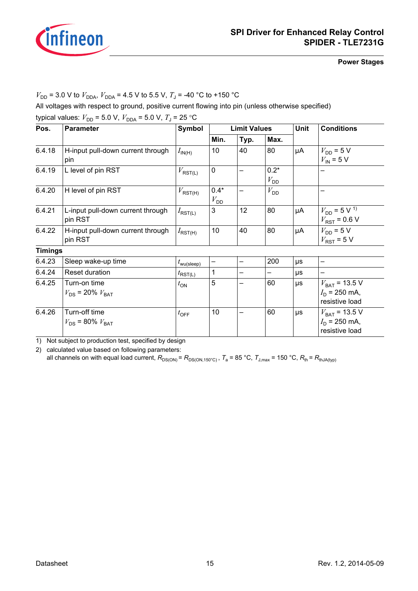

 $V_{\text{DD}}$  = 3.0 V to  $V_{\text{DDA}}$ ,  $V_{\text{DDA}}$  = 4.5 V to 5.5 V,  $T_{\text{J}}$  = -40 °C to +150 °C

All voltages with respect to ground, positive current flowing into pin (unless otherwise specified)

| Pos.           | <b>Parameter</b>                             | <b>Symbol</b>                  |                           | <b>Limit Values</b> |                           | <b>Unit</b> | <b>Conditions</b>                                                       |  |
|----------------|----------------------------------------------|--------------------------------|---------------------------|---------------------|---------------------------|-------------|-------------------------------------------------------------------------|--|
|                |                                              |                                | Min.                      | Typ.                | Max.                      |             |                                                                         |  |
| 6.4.18         | H-input pull-down current through<br>pin     | $I_{\mathsf{IN}(\mathsf{H})}$  | 10                        | 40                  | 80                        | μA          | $V_{\text{DD}} = 5 \text{ V}$<br>$V_{\text{IN}}$ = 5 V                  |  |
| 6.4.19         | L level of pin RST                           | $V_{\text{RST(L)}}$            | 0                         |                     | $0.2*$<br>$V_{\text{DD}}$ |             |                                                                         |  |
| 6.4.20         | H level of pin RST                           |                                | $0.4*$<br>$V_{\text{DD}}$ |                     | $V_{\text{DD}}$           |             |                                                                         |  |
| 6.4.21         | L-input pull-down current through<br>pin RST | $I_{\mathsf{RST}(\mathsf{L})}$ | 3                         | 12                  | 80                        | μA          | $V_{\text{DD}}$ = 5 V <sup>1)</sup><br>$V_{RST}$ = 0.6 V                |  |
| 6.4.22         | H-input pull-down current through<br>pin RST | $I_{\mathsf{RST}(\mathsf{H})}$ | 10                        | 40                  | 80                        | μA          | $V_{\text{DD}}$ = 5 V<br>$V_{RST}$ = 5 V                                |  |
| <b>Timings</b> |                                              |                                |                           |                     |                           |             |                                                                         |  |
| 6.4.23         | Sleep wake-up time                           | $t_{\text{wu(sleep)}}$         |                           | -                   | 200                       | μs          |                                                                         |  |
| 6.4.24         | Reset duration                               | $t_{\mathsf{RST}(L)}$          | 1                         | -                   |                           | μs          |                                                                         |  |
| 6.4.25         | Turn-on time<br>$V_{DS}$ = 20% $V_{BAT}$     | $t_{\text{ON}}$                | 5                         | —                   | 60                        | μs          | $V_{\text{BAT}}$ = 13.5 V<br>$I_{\text{D}}$ = 250 mA,<br>resistive load |  |
| 6.4.26         | Turn-off time<br>$V_{DS}$ = 80% $V_{BAT}$    | $t_{\text{OFF}}$               | 10                        |                     | 60                        | $\mu s$     | $V_{\text{BAT}}$ = 13.5 V<br>$I_{\text{D}}$ = 250 mA,<br>resistive load |  |

<span id="page-14-2"></span><span id="page-14-1"></span><span id="page-14-0"></span>1) Not subject to production test, specified by design

2) calculated value based on following parameters:

all channels on with equal load current,  $R_{DS(ON)} = R_{DS(ON,150°C)}$ ,  $T_a = 85 °C$ ,  $T_{J,max} = 150 °C$ ,  $R_{th} = R_{thJA(typ)}$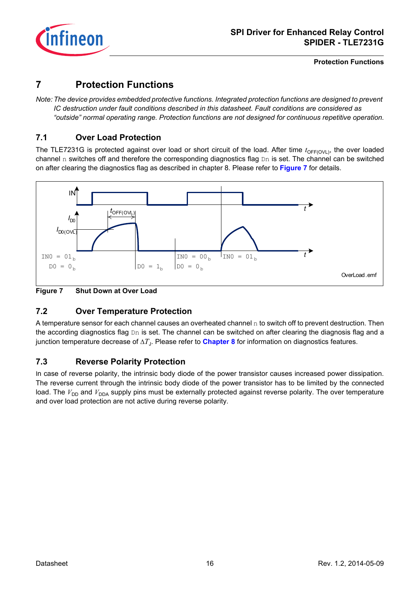

**Protection Functions**

### <span id="page-15-0"></span>**7 Protection Functions**

*Note: The device provides embedded protective functions. Integrated protection functions are designed to prevent IC destruction under fault conditions described in this datasheet. Fault conditions are considered as "outside" normal operating range. Protection functions are not designed for continuous repetitive operation.*

### <span id="page-15-1"></span>**7.1 Over Load Protection**

The TLE7231G is protected against over load or short circuit of the load. After time  $t_{\text{OFF(OVI)}}$ , the over loaded channel n switches off and therefore the corresponding diagnostics flag  $Dn$  is set. The channel can be switched on after clearing the diagnostics flag as described in chapter 8. Please refer to **[Figure 7](#page-15-4)** for details.



<span id="page-15-4"></span>**Figure 7 Shut Down at Over Load** 

### <span id="page-15-5"></span><span id="page-15-2"></span>**7.2 Over Temperature Protection**

A temperature sensor for each channel causes an overheated channel  $n$  to switch off to prevent destruction. Then the according diagnostics flag Dn is set. The channel can be switched on after clearing the diagnosis flag and a junction temperature decrease of Δ*T*J. Please refer to **[Chapter 8](#page-17-2)** for information on diagnostics features.

### <span id="page-15-3"></span>**7.3 Reverse Polarity Protection**

In case of reverse polarity, the intrinsic body diode of the power transistor causes increased power dissipation. The reverse current through the intrinsic body diode of the power transistor has to be limited by the connected load. The  $V_{DD}$  and  $V_{DDA}$  supply pins must be externally protected against reverse polarity. The over temperature and over load protection are not active during reverse polarity.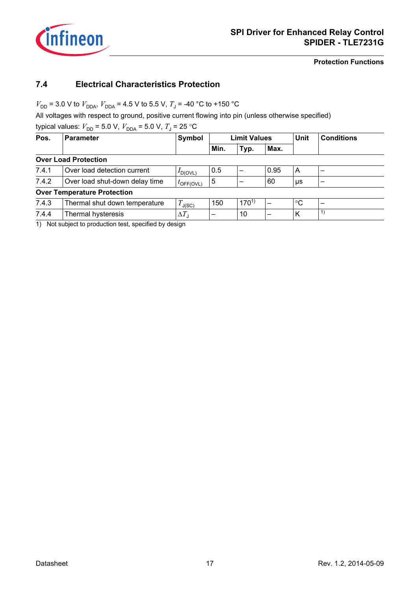

<span id="page-16-5"></span><span id="page-16-4"></span><span id="page-16-3"></span><span id="page-16-2"></span>**Protection Functions**

### <span id="page-16-0"></span>**7.4 Electrical Characteristics Protection**

 $V_{\text{DD}}$  = 3.0 V to  $V_{\text{DDA}}$ ,  $V_{\text{DDA}}$  = 4.5 V to 5.5 V,  $T_{\text{J}}$  = -40 °C to +150 °C

All voltages with respect to ground, positive current flowing into pin (unless otherwise specified)

typical values:  $V_{DD}$  = 5.0 V,  $V_{DDA}$  = 5.0 V,  $T_{J}$  = 25 °C

| Pos.  | <b>Parameter</b>                   | Symbol                |      | <b>Limit Values</b> |      | <b>Unit</b> | <b>Conditions</b> |  |
|-------|------------------------------------|-----------------------|------|---------------------|------|-------------|-------------------|--|
|       |                                    |                       | Min. | Typ.                | Max. |             |                   |  |
|       | <b>Over Load Protection</b>        |                       |      |                     |      |             |                   |  |
| 7.4.1 | Over load detection current        | $I_{D(OVL)}$          | 0.5  |                     | 0.95 | A           |                   |  |
| 7.4.2 | Over load shut-down delay time     | $t_{\text{OFF(OVL)}}$ | 5    |                     | 60   | μs          |                   |  |
|       | <b>Over Temperature Protection</b> |                       |      |                     |      |             |                   |  |
| 7.4.3 | Thermal shut down temperature      | $T_{\text{J(SC)}}$    | 150  | $170^{1}$           |      | $^{\circ}C$ |                   |  |
| 7.4.4 | Thermal hysteresis                 | $\Delta T_{\text{J}}$ | -    | 10                  |      | К           | 1)                |  |

<span id="page-16-1"></span>1) Not subject to production test, specified by design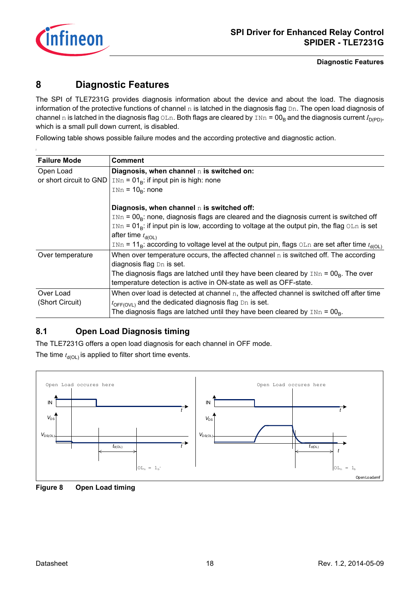

#### **Diagnostic Features**

### <span id="page-17-2"></span><span id="page-17-0"></span>**8 Diagnostic Features**

The SPI of TLE7231G provides diagnosis information about the device and about the load. The diagnosis information of the protective functions of channel  $n$  is latched in the diagnosis flag  $Dn$ . The open load diagnosis of channel n is latched in the diagnosis flag OLn. Both flags are cleared by  $\text{INn} = 00_B$  and the diagnosis current  $I_{\text{D(PD)}}$ , which is a small pull down current, is disabled.

Following table shows possible failure modes and the according protective and diagnostic action.

| <b>Failure Mode</b>     | <b>Comment</b>                                                                                                     |
|-------------------------|--------------------------------------------------------------------------------------------------------------------|
| Open Load               | Diagnosis, when channel n is switched on:                                                                          |
| or short circuit to GND | $INn = 01B$ : if input pin is high: none                                                                           |
|                         | $INn = 10B$ : none                                                                                                 |
|                         | Diagnosis, when channel $n$ is switched off:                                                                       |
|                         | $\text{In} = 00\text{R}$ : none, diagnosis flags are cleared and the diagnosis current is switched off             |
|                         | $\text{INn} = 01_{\text{R}}$ : if input pin is low, according to voltage at the output pin, the flag OLn is set    |
|                         | after time $t_{d(OL)}$                                                                                             |
|                         | INn = 11 <sub>B</sub> : according to voltage level at the output pin, flags OLn are set after time $t_{d(OL)}$     |
| Over temperature        | When over temperature occurs, the affected channel $n$ is switched off. The according<br>diagnosis flag Dn is set. |
|                         | The diagnosis flags are latched until they have been cleared by $\text{INn} = \text{OO}_R$ . The over              |
|                         | temperature detection is active in ON-state as well as OFF-state.                                                  |
| Over Load               | When over load is detected at channel $n$ , the affected channel is switched off after time                        |
| (Short Circuit)         | $t_{\text{OFF(OVL)}}$ and the dedicated diagnosis flag Dn is set.                                                  |
|                         | The diagnosis flags are latched until they have been cleared by $\text{INn} = 00_{\text{R}}$ .                     |

### <span id="page-17-1"></span>**8.1 Open Load Diagnosis timing**

The TLE7231G offers a open load diagnosis for each channel in OFF mode.

The time  $t_{d(OL)}$  is applied to filter short time events.



<span id="page-17-3"></span>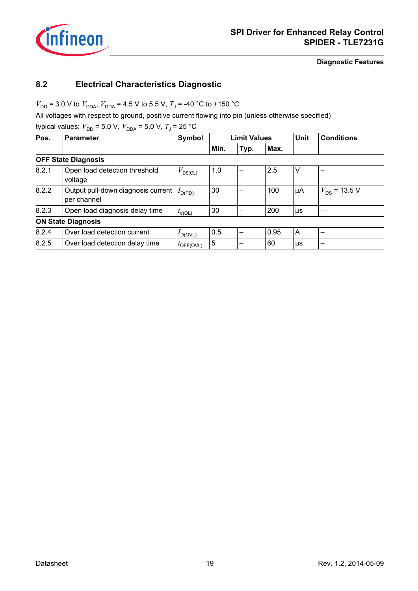

**Diagnostic Features**

### <span id="page-18-0"></span>**8.2 Electrical Characteristics Diagnostic**

 $V_{\text{DD}}$  = 3.0 V to  $V_{\text{DDA}}$ ,  $V_{\text{DDA}}$  = 4.5 V to 5.5 V,  $T_{\text{J}}$  = -40 °C to +150 °C

All voltages with respect to ground, positive current flowing into pin (unless otherwise specified)

typical values:  $V_{DD} = 5.0 \text{ V}$ ,  $V_{DDA} = 5.0 \text{ V}$ ,  $T_{J} = 25 \text{ °C}$ 

<span id="page-18-1"></span>

| Pos.  | <b>Parameter</b>                                  | Symbol                        |      | <b>Limit Values</b> |      | <b>Unit</b> | <b>Conditions</b> |  |
|-------|---------------------------------------------------|-------------------------------|------|---------------------|------|-------------|-------------------|--|
|       |                                                   |                               | Min. | Typ.                | Max. |             |                   |  |
|       | <b>OFF State Diagnosis</b>                        |                               |      |                     |      |             |                   |  |
| 8.2.1 | Open load detection threshold<br>voltage          | $V_{DS(OL)}$                  | 1.0  |                     | 2.5  | V           |                   |  |
| 8.2.2 | Output pull-down diagnosis current<br>per channel | $I_{\mathsf{D}(\mathsf{PD})}$ | 30   |                     | 100  | μA          | $V_{DS}$ = 13.5 V |  |
| 8.2.3 | Open load diagnosis delay time                    | $t_{d(OL)}$                   | 30   |                     | 200  | μs          |                   |  |
|       | <b>ON State Diagnosis</b>                         |                               |      |                     |      |             |                   |  |
| 8.2.4 | Over load detection current                       | $I_{\text{D(OVL)}}$           | 0.5  |                     | 0.95 | A           |                   |  |
| 8.2.5 | Over load detection delay time                    | $t_{\text{OFF(OVL)}}$         | 5    |                     | 60   | μs          |                   |  |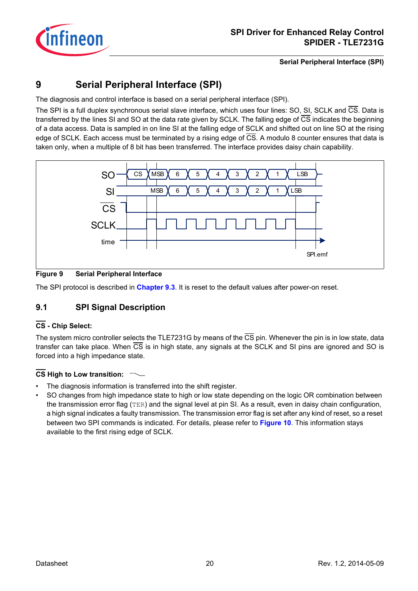

### <span id="page-19-0"></span>**9 Serial Peripheral Interface (SPI)**

The diagnosis and control interface is based on a serial peripheral interface (SPI).

The SPI is a full duplex synchronous serial slave interface, which uses four lines: SO, SI, SCLK and CS. Data is transferred by the lines SI and SO at the data rate given by SCLK. The falling edge of CS indicates the beginning of a data access. Data is sampled in on line SI at the falling edge of SCLK and shifted out on line SO at the rising edge of SCLK. Each access must be terminated by a rising edge of CS. A modulo 8 counter ensures that data is taken only, when a multiple of 8 bit has been transferred. The interface provides daisy chain capability.



### **Figure 9 Serial Peripheral Interface**

The SPI protocol is described in **[Chapter 9.3](#page-21-0)**. It is reset to the default values after power-on reset.

### <span id="page-19-1"></span>**9.1 SPI Signal Description**

### **CS - Chip Select:**

The system micro controller selects the TLE7231G by means of the  $\overline{CS}$  pin. Whenever the pin is in low state, data transfer can take place. When CS is in high state, any signals at the SCLK and SI pins are ignored and SO is forced into a high impedance state.

### **CS High to Low transition:**

- The diagnosis information is transferred into the shift register.
- SO changes from high impedance state to high or low state depending on the logic OR combination between the transmission error flag (TER) and the signal level at pin SI. As a result, even in daisy chain configuration, a high signal indicates a faulty transmission. The transmission error flag is set after any kind of reset, so a reset between two SPI commands is indicated. For details, please refer to **[Figure 10](#page-20-1)**. This information stays available to the first rising edge of SCLK.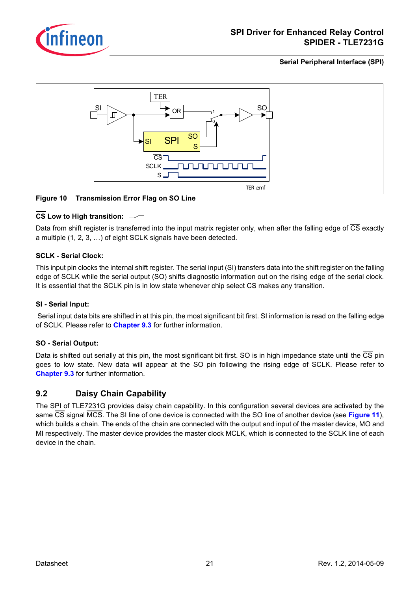



<span id="page-20-1"></span>**Figure 10 Transmission Error Flag on SO Line**

### **CS Low to High transition:**

Data from shift register is transferred into the input matrix register only, when after the falling edge of  $\overline{CS}$  exactly a multiple (1, 2, 3, …) of eight SCLK signals have been detected.

#### **SCLK - Serial Clock:**

This input pin clocks the internal shift register. The serial input (SI) transfers data into the shift register on the falling edge of SCLK while the serial output (SO) shifts diagnostic information out on the rising edge of the serial clock. It is essential that the SCLK pin is in low state whenever chip select CS makes any transition.

### **SI - Serial Input:**

 Serial input data bits are shifted in at this pin, the most significant bit first. SI information is read on the falling edge of SCLK. Please refer to **[Chapter 9.3](#page-21-0)** for further information.

#### **SO - Serial Output:**

Data is shifted out serially at this pin, the most significant bit first. SO is in high impedance state until the CS pin goes to low state. New data will appear at the SO pin following the rising edge of SCLK. Please refer to **[Chapter 9.3](#page-21-0)** for further information.

### <span id="page-20-0"></span>**9.2 Daisy Chain Capability**

The SPI of TLE7231G provides daisy chain capability. In this configuration several devices are activated by the same CS signal MCS. The SI line of one device is connected with the SO line of another device (see **[Figure 11](#page-21-2)**), which builds a chain. The ends of the chain are connected with the output and input of the master device, MO and MI respectively. The master device provides the master clock MCLK, which is connected to the SCLK line of each device in the chain.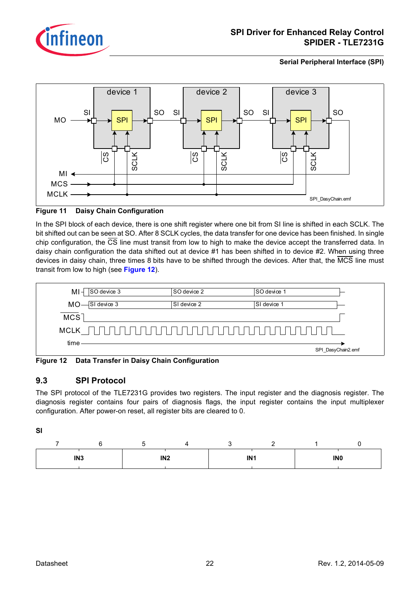



#### <span id="page-21-2"></span>**Figure 11 Daisy Chain Configuration**

In the SPI block of each device, there is one shift register where one bit from SI line is shifted in each SCLK. The bit shifted out can be seen at SO. After 8 SCLK cycles, the data transfer for one device has been finished. In single chip configuration, the  $\overline{CS}$  line must transit from low to high to make the device accept the transferred data. In daisy chain configuration the data shifted out at device #1 has been shifted in to device #2. When using three devices in daisy chain, three times 8 bits have to be shifted through the devices. After that, the MCS line must transit from low to high (see **[Figure 12](#page-21-3)**).



<span id="page-21-3"></span>**Figure 12 Data Transfer in Daisy Chain Configuration**

### <span id="page-21-1"></span><span id="page-21-0"></span>**9.3 SPI Protocol**

The SPI protocol of the TLE7231G provides two registers. The input register and the diagnosis register. The diagnosis register contains four pairs of diagnosis flags, the input register contains the input multiplexer configuration. After power-on reset, all register bits are cleared to 0.

**SI**

| IN <sub>3</sub> | IN <sub>2</sub> | IN <sub>1</sub> |  | <b>INO</b> |
|-----------------|-----------------|-----------------|--|------------|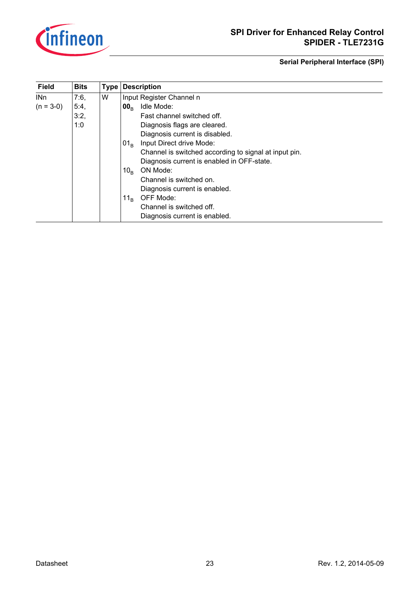

| <b>Field</b>    | <b>Bits</b> | <b>Type</b> | <b>Description</b>                                    |
|-----------------|-------------|-------------|-------------------------------------------------------|
| IN <sub>n</sub> | 7:6,        | W           | Input Register Channel n                              |
| $(n = 3-0)$     | 5:4,        |             | Idle Mode:<br>00 <sub>R</sub>                         |
|                 | 3:2,        |             | Fast channel switched off.                            |
|                 | 1:0         |             | Diagnosis flags are cleared.                          |
|                 |             |             | Diagnosis current is disabled.                        |
|                 |             |             | Input Direct drive Mode:<br>01 <sub>R</sub>           |
|                 |             |             | Channel is switched according to signal at input pin. |
|                 |             |             | Diagnosis current is enabled in OFF-state.            |
|                 |             |             | ON Mode:<br>10 <sub>R</sub>                           |
|                 |             |             | Channel is switched on.                               |
|                 |             |             | Diagnosis current is enabled.                         |
|                 |             |             | OFF Mode:<br>11 <sub>R</sub>                          |
|                 |             |             | Channel is switched off.                              |
|                 |             |             | Diagnosis current is enabled.                         |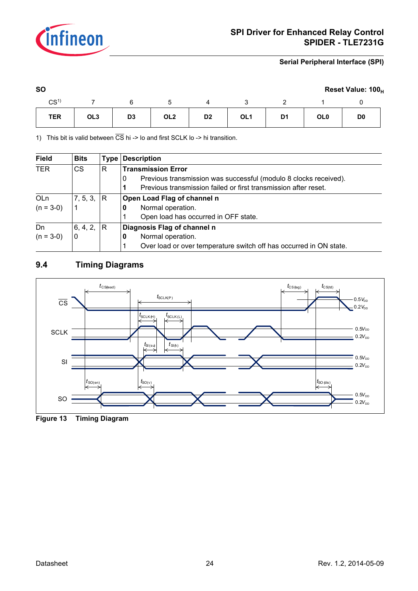

| <b>SO</b>       |                 |                |                 |                |                 |                |                 | Reset Value: 100 <sub>H</sub> |  |
|-----------------|-----------------|----------------|-----------------|----------------|-----------------|----------------|-----------------|-------------------------------|--|
| CS <sup>1</sup> |                 |                |                 |                |                 |                |                 |                               |  |
| <b>TER</b>      | OL <sub>3</sub> | D <sub>3</sub> | OL <sub>2</sub> | D <sub>2</sub> | OL <sub>1</sub> | D <sub>1</sub> | OL <sub>0</sub> | D <sub>0</sub>                |  |

1) This bit is valid between  $\overline{CS}$  hi -> lo and first SCLK lo -> hi transition.

| <b>Field</b> | <b>Bits</b>    | Type | <b>Description</b>                                                    |
|--------------|----------------|------|-----------------------------------------------------------------------|
| <b>TER</b>   | <b>CS</b>      | R    | <b>Transmission Error</b>                                             |
|              |                |      | Previous transmission was successful (modulo 8 clocks received).<br>0 |
|              |                |      | Previous transmission failed or first transmission after reset.       |
| OLn          | 7, 5, 3,  R    |      | Open Load Flag of channel n                                           |
| $(n = 3-0)$  |                |      | Normal operation.<br>U                                                |
|              |                |      | Open load has occurred in OFF state.                                  |
| Dn           | 6, 4, 2, $ R $ |      | Diagnosis Flag of channel n                                           |
| $(n = 3-0)$  | $\mathbf 0$    |      | Normal operation.<br>0                                                |
|              |                |      | Over load or over temperature switch off has occurred in ON state.    |

### <span id="page-23-0"></span>**9.4 Timing Diagrams**



<span id="page-23-1"></span>**Figure 13 Timing Diagram**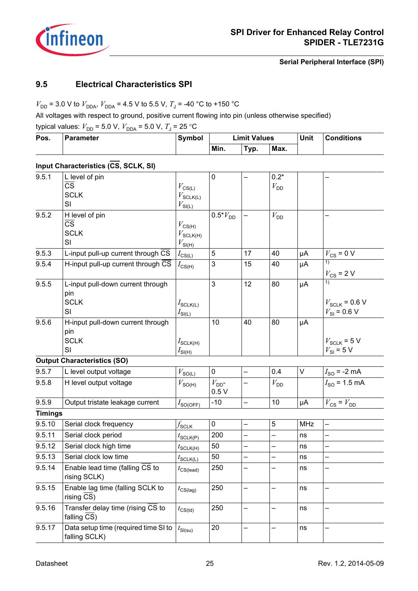

### <span id="page-24-0"></span>**9.5 Electrical Characteristics SPI**

 $V_{\text{DD}}$  = 3.0 V to  $V_{\text{DDA}}$ ,  $V_{\text{DDA}}$  = 4.5 V to 5.5 V,  $T_{\text{J}}$  = -40 °C to +150 °C

All voltages with respect to ground, positive current flowing into pin (unless otherwise specified)

typical values:  $V_{DD}$  = 5.0 V,  $V_{DDA}$  = 5.0 V,  $T_{J}$  = 25 °C

| Pos. | <b>Parameter</b> | <b>Symbol</b> | Limit Values |      |      | Unit | <b>Conditions</b> |
|------|------------------|---------------|--------------|------|------|------|-------------------|
|      |                  |               | Min.         | Typ. | Max. |      |                   |

### **Input Characteristics (CS, SCLK, SI)**

| 9.5.1          | L level of pin<br>$\overline{\text{CS}}$<br><b>SCLK</b><br>SI  | $V_{\text{CS(L)}}$<br>$V_{\text{SCLK(L)}}$<br>$V_{\mathsf{SI(L)}}$   | $\mathbf 0$        |                          | $0.2*$<br>$V_{DD}$       |            |                                                     |
|----------------|----------------------------------------------------------------|----------------------------------------------------------------------|--------------------|--------------------------|--------------------------|------------|-----------------------------------------------------|
| 9.5.2          | H level of pin<br>$\overline{\text{cs}}$<br><b>SCLK</b><br>SI  | $V_{\text{CS(H)}}$<br>$V_{\mathsf{SCLK(H)}}$<br>$V_{\mathsf{SI(H)}}$ | $0.5*V_{DD}$       |                          | $V_{DD}$                 |            | —                                                   |
| 9.5.3          | L-input pull-up current through CS                             | $I_{\text{CS}(\underline{\mathsf{L}})}$                              | 5                  | 17                       | 40                       | μA         | $V_{CS}$ = 0 V                                      |
| 9.5.4          | H-input pull-up current through CS                             | $I_{\text{CS(H)}}$                                                   | 3                  | 15                       | 40                       | μA         | 1)<br>$V_{\text{CS}}$ = 2 V                         |
| 9.5.5          | L-input pull-down current through<br>pin<br><b>SCLK</b><br>SI  | $I_{\text{SCLK(L)}}$<br>$I_{\text{SI}(\underline{\mathsf{L}})}$      | 3                  | 12                       | 80                       | μA         | 1)<br>$V_{SCLK}$ = 0.6 V<br>$V_{\text{SI}}$ = 0.6 V |
| 9.5.6          | H-input pull-down current through<br>pin<br><b>SCLK</b><br>SI  | $I_{\text{SCLK(H)}}$<br>$I_{SI(H)}$                                  | 10                 | 40                       | 80                       | μA         | $V_{SCLK}$ = 5 V<br>$V_{\text{SI}}$ = 5 V           |
|                | <b>Output Characteristics (SO)</b>                             |                                                                      |                    |                          |                          |            |                                                     |
| 9.5.7          | L level output voltage                                         | $V_{\text{S\underline{O}(L)}}$                                       | 0                  | $\overline{\phantom{0}}$ | 0.4                      | V          | $I_{SO}$ = -2 mA                                    |
| 9.5.8          | H level output voltage                                         | $V_{\text{SO(H)}}$                                                   | $V_{DD}$ -<br>0.5V | —                        | $V_{\text{DD}}$          |            | $I_{\rm SO}$ = 1.5 mA                               |
| 9.5.9          | Output tristate leakage current                                | $I_{\text{SO(OFF)}}$                                                 | $-10$              |                          | 10                       | μA         | $V_{\text{CS}} = V_{\text{DD}}$                     |
| <b>Timings</b> |                                                                |                                                                      |                    |                          |                          |            |                                                     |
| 9.5.10         | Serial clock frequency                                         | $f_{\mathsf{SCLK}}$                                                  | $\pmb{0}$          | $\qquad \qquad -$        | 5                        | <b>MHz</b> | $\qquad \qquad -$                                   |
| 9.5.11         | Serial clock period                                            | $t_{\text{SCLK}(P)}$                                                 | 200                | $\overline{\phantom{0}}$ | $\overline{\phantom{0}}$ | ns         | —                                                   |
| 9.5.12         | Serial clock high time                                         | $t_{\text{SCLK(H)}}$                                                 | 50                 | -                        | -                        | ns         | —                                                   |
| 9.5.13         | Serial clock low time                                          | $t_{\text{SCLK(L)}}$                                                 | 50                 | -                        | -                        | ns         | —                                                   |
| 9.5.14         | Enable lead time (falling CS to<br>rising SCLK)                | $t_{CS(lead)}$                                                       | 250                |                          |                          | ns         |                                                     |
| 9.5.15         | Enable lag time (falling SCLK to<br>rising CS)                 | $t_{\text{CS(lag)}}$                                                 | 250                |                          |                          | ns         | -                                                   |
| 9.5.16         | Transfer delay time (rising CS to<br>falling $\overline{CS}$ ) | $t_{\text{CS(td)}}$                                                  | 250                | —                        |                          | ns         | —                                                   |
| 9.5.17         | Data setup time (required time SI to<br>falling SCLK)          | $t_{\mathsf{SI(su)}}$                                                | 20                 |                          |                          | ns         |                                                     |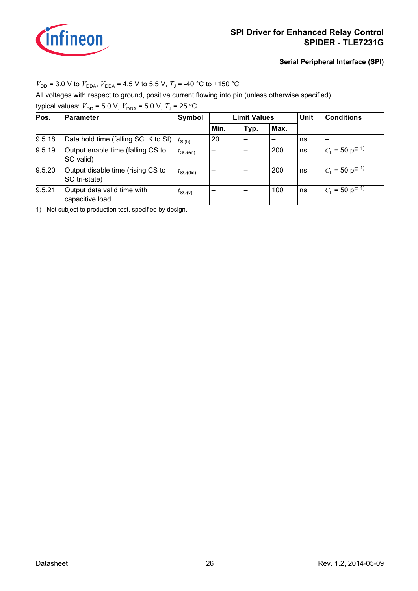

### $V_{\text{DD}}$  = 3.0 V to  $V_{\text{DDA}}$ ,  $V_{\text{DDA}}$  = 4.5 V to 5.5 V,  $T_{\text{J}}$  = -40 °C to +150 °C

All voltages with respect to ground, positive current flowing into pin (unless otherwise specified)

typical values:  $V_{DD}$  = 5.0 V,  $V_{DDA}$  = 5.0 V,  $T_{J}$  = 25 °C

| Pos.   | <b>Parameter</b>                                   | <b>Limit Values</b><br>Symbol |                          |      |      | <b>Unit</b> | <b>Conditions</b>           |
|--------|----------------------------------------------------|-------------------------------|--------------------------|------|------|-------------|-----------------------------|
|        |                                                    |                               | Min.                     | Typ. | Max. |             |                             |
| 9.5.18 | Data hold time (falling SCLK to SI)                | $t_{\text{SI(h)}}$            | 20                       |      |      | ns          | $\overline{\phantom{0}}$    |
| 9.5.19 | Output enable time (falling CS to<br>SO valid)     | $t_{\text{SO(en)}}$           | —                        |      | 200  | ns          | $C_1 = 50$ pF <sup>1)</sup> |
| 9.5.20 | Output disable time (rising CS to<br>SO tri-state) | $t_{\text{SO(dis)}}$          | $\overline{\phantom{0}}$ |      | 200  | ns          | $C_1 = 50$ pF <sup>1)</sup> |
| 9.5.21 | Output data valid time with<br>capacitive load     | $t_{\text{SO}(v)}$            | -                        |      | 100  | ns          | $C_1 = 50$ pF <sup>1)</sup> |

<span id="page-25-0"></span>1) Not subject to production test, specified by design.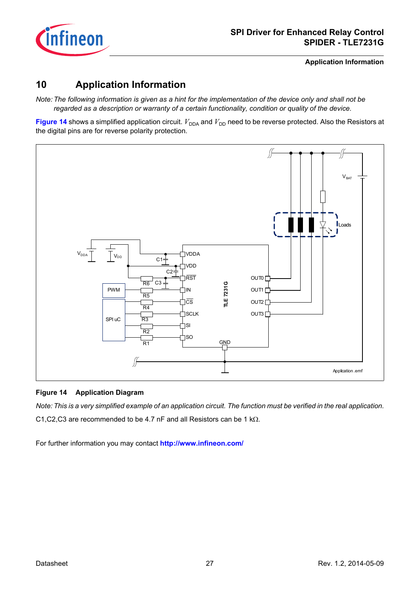

**Application Information**

### <span id="page-26-0"></span>**10 Application Information**

*Note: The following information is given as a hint for the implementation of the device only and shall not be regarded as a description or warranty of a certain functionality, condition or quality of the device.*

**[Figure 14](#page-26-1)** shows a simplified application circuit.  $V_{DDA}$  and  $V_{DD}$  need to be reverse protected. Also the Resistors at the digital pins are for reverse polarity protection.



### <span id="page-26-1"></span>**Figure 14 Application Diagram**

*Note: This is a very simplified example of an application circuit. The function must be verified in the real application.* C1,C2,C3 are recommended to be 4.7 nF and all Resistors can be 1 kΩ.

For further information you may contact **<http://www.infineon.com/>**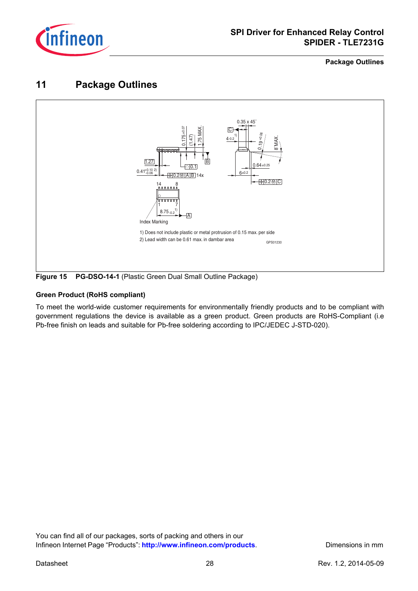

**Package Outlines**

### <span id="page-27-0"></span>**11 Package Outlines**



**Figure 15 PG-DSO-14-1** (Plastic Green Dual Small Outline Package)

### **Green Product (RoHS compliant)**

To meet the world-wide customer requirements for environmentally friendly products and to be compliant with government regulations the device is available as a green product. Green products are RoHS-Compliant (i.e Pb-free finish on leads and suitable for Pb-free soldering according to IPC/JEDEC J-STD-020).

You can find all of our packages, sorts of packing and others in our Infineon Internet Page "Products": [http://www.infineon.com/products](http://www.infineon.com/products/). Dimensions in mm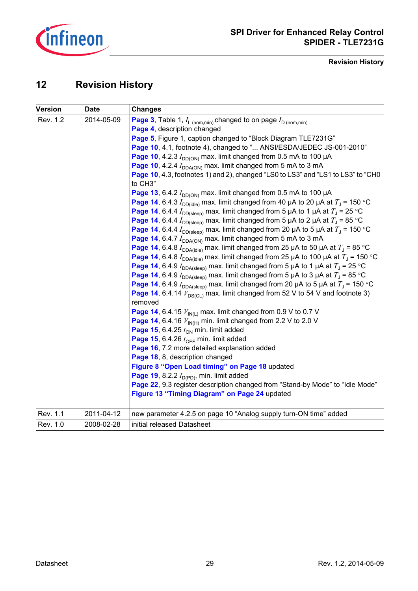

#### **Revision History**

### <span id="page-28-0"></span>**12 Revision History**

| <b>Version</b> | <b>Date</b> | <b>Changes</b>                                                                                               |
|----------------|-------------|--------------------------------------------------------------------------------------------------------------|
| Rev. 1.2       | 2014-05-09  | <b>Page 3</b> , Table 1, $I_{\text{L (nom,min)}}$ changed to on page $I_{\text{D (nom,min)}}$                |
|                |             | Page 4, description changed                                                                                  |
|                |             | Page 5, Figure 1, caption changed to "Block Diagram TLE7231G"                                                |
|                |             | Page 10, 4.1, footnote 4), changed to " ANSI/ESDA/JEDEC JS-001-2010"                                         |
|                |             | Page 10, 4.2.3 $I_{DD(ON)}$ max. limit changed from 0.5 mA to 100 µA                                         |
|                |             | Page 10, 4.2.4 $I_{DDA(ON)}$ max. limit changed from 5 mA to 3 mA                                            |
|                |             | Page 10, 4.3, footnotes 1) and 2), changed "LS0 to LS3" and "LS1 to LS3" to "CH0<br>to CH3"                  |
|                |             | Page 13, 6.4.2 $I_{DD(ON)}$ max. limit changed from 0.5 mA to 100 µA                                         |
|                |             | Page 14, 6.4.3 $I_{DD(idle)}$ max. limit changed from 40 µA to 20 µA at $T_A$ = 150 °C                       |
|                |             | <b>Page 14</b> , 6.4.4 $I_{\text{DD(sleep)}}$ max. limit changed from 5 µA to 1 µA at $T_{\text{J}}$ = 25 °C |
|                |             | <b>Page 14</b> , 6.4.4 $I_{\text{DD(sleep)}}$ max. limit changed from 5 µA to 2 µA at $T_1$ = 85 °C          |
|                |             | <b>Page 14</b> , 6.4.4 $I_{DD(sleep)}$ max. limit changed from 20 µA to 5 µA at $T_{J}$ = 150 °C             |
|                |             | Page 14, 6.4.7 $I_{DDA(ON)}$ max. limit changed from 5 mA to 3 mA                                            |
|                |             | <b>Page 14</b> , 6.4.8 $I_{DDA(idle)}$ max. limit changed from 25 µA to 50 µA at $T_1$ = 85 °C               |
|                |             | <b>Page 14</b> , 6.4.8 $I_{DDA(idle)}$ max. limit changed from 25 µA to 100 µA at $T_A$ = 150 °C             |
|                |             | <b>Page 14</b> , 6.4.9 $I_{DDA(sleep)}$ max. limit changed from 5 µA to 1 µA at $T_A$ = 25 °C                |
|                |             | <b>Page 14</b> , 6.4.9 $I_{DDA(sleep)}$ max. limit changed from 5 µA to 3 µA at $T_A$ = 85 °C                |
|                |             | <b>Page 14</b> , 6.4.9 $I_{DDA(sleep)}$ max. limit changed from 20 µA to 5 µA at $T_J$ = 150 °C              |
|                |             | <b>Page 14</b> , 6.4.14 $V_{DS(C)}$ max. limit changed from 52 V to 54 V and footnote 3)                     |
|                |             | removed                                                                                                      |
|                |             | Page 14, 6.4.15 $V_{IN(L)}$ max. limit changed from 0.9 V to 0.7 V                                           |
|                |             | Page 14, 6.4.16 $V_{IN(H)}$ min. limit changed from 2.2 V to 2.0 V                                           |
|                |             | Page 15, 6.4.25 $t_{ON}$ min. limit added                                                                    |
|                |             | Page 15, 6.4.26 $t_{\text{OFF}}$ min. limit added                                                            |
|                |             | Page 16, 7.2 more detailed explanation added                                                                 |
|                |             | Page 18, 8, description changed                                                                              |
|                |             | Figure 8 "Open Load timing" on Page 18 updated                                                               |
|                |             | Page 19, 8.2.2 $I_{D(PD)}$ , min. limit added                                                                |
|                |             | Page 22, 9.3 register description changed from "Stand-by Mode" to "Idle Mode"                                |
|                |             | Figure 13 "Timing Diagram" on Page 24 updated                                                                |
| Rev. 1.1       | 2011-04-12  | new parameter 4.2.5 on page 10 "Analog supply turn-ON time" added                                            |
| Rev. 1.0       | 2008-02-28  | initial released Datasheet                                                                                   |